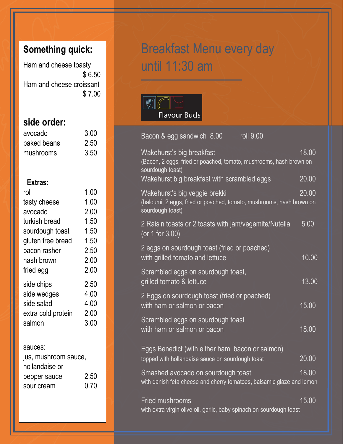## **Something quick:**

Ham and cheese toasty \$ 6.50 Ham and cheese croissant \$ 7.00

## **side order:**

| avocado     | 3.00 |
|-------------|------|
| baked beans | 2.50 |
| mushrooms   | 3.50 |

### **Extras:**

| roll               | 1.00 |
|--------------------|------|
| tasty cheese       | 1.00 |
| avocado            | 2.00 |
| turkish bread      | 1.50 |
| sourdough toast    | 1.50 |
| gluten free bread  | 1.50 |
| bacon rasher       | 2.50 |
| hash brown         | 2.00 |
| fried egg          | 2.00 |
| side chips         | 2.50 |
| side wedges        | 4.00 |
| side salad         | 4.00 |
| extra cold protein | 2.00 |
| salmon             | 3.00 |
|                    |      |

#### sauces:

| jus, mushroom sauce, |      |
|----------------------|------|
| hollandaise or       |      |
| pepper sauce         | 2.50 |
| sour cream           | 0.70 |
|                      |      |

# Breakfast Menu every day until 11:30 am



| roll 9.00<br>Bacon & egg sandwich 8.00                                                                                    |                    |
|---------------------------------------------------------------------------------------------------------------------------|--------------------|
| Wakehurst's big breakfast<br>(Bacon, 2 eggs, fried or poached, tomato, mushrooms, hash brown on<br>sourdough toast)       | 18.00              |
| Wakehurst big breakfast with scrambled eggs                                                                               | 20.00              |
| Wakehurst's big veggie brekki<br>(haloumi, 2 eggs, fried or poached, tomato, mushrooms, hash brown on<br>sourdough toast) | 20.00              |
| 2 Raisin toasts or 2 toasts with jam/vegemite/Nutella<br>(or 1 for 3.00)                                                  | 5.00               |
| 2 eggs on sourdough toast (fried or poached)<br>with grilled tomato and lettuce                                           | 10.00              |
| Scrambled eggs on sourdough toast,<br>grilled tomato & lettuce                                                            | 13.00              |
| 2 Eggs on sourdough toast (fried or poached)<br>with ham or salmon or bacon                                               | 15.00              |
| Scrambled eggs on sourdough toast<br>with ham or salmon or bacon                                                          | 18.00              |
| Eggs Benedict (with either ham, bacon or salmon)<br>topped with hollandaise sauce on sourdough toast                      | $\overline{20.00}$ |
| Smashed avocado on sourdough toast<br>with danish feta cheese and cherry tomatoes, balsamic glaze and lemon               | 18.00              |
| <b>Fried mushrooms</b><br>with extra virgin olive oil, garlic, baby spinach on sourdough toast                            | 15.00              |